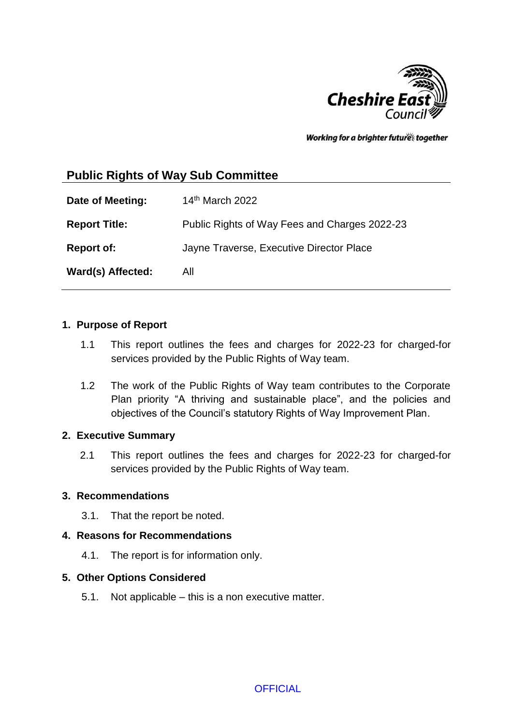

Working for a brighter futures together

# **Public Rights of Way Sub Committee**

**Date of Meeting:** 14<sup>th</sup> March 2022 **Report Title:** Public Rights of Way Fees and Charges 2022-23 **Report of:** Jayne Traverse, Executive Director Place **Ward(s) Affected:** All

#### **1. Purpose of Report**

- 1.1 This report outlines the fees and charges for 2022-23 for charged-for services provided by the Public Rights of Way team.
- 1.2 The work of the Public Rights of Way team contributes to the Corporate Plan priority "A thriving and sustainable place", and the policies and objectives of the Council's statutory Rights of Way Improvement Plan.

#### **2. Executive Summary**

2.1 This report outlines the fees and charges for 2022-23 for charged-for services provided by the Public Rights of Way team.

#### **3. Recommendations**

3.1. That the report be noted.

#### **4. Reasons for Recommendations**

4.1. The report is for information only.

#### **5. Other Options Considered**

5.1. Not applicable – this is a non executive matter.

**OFFICIAL**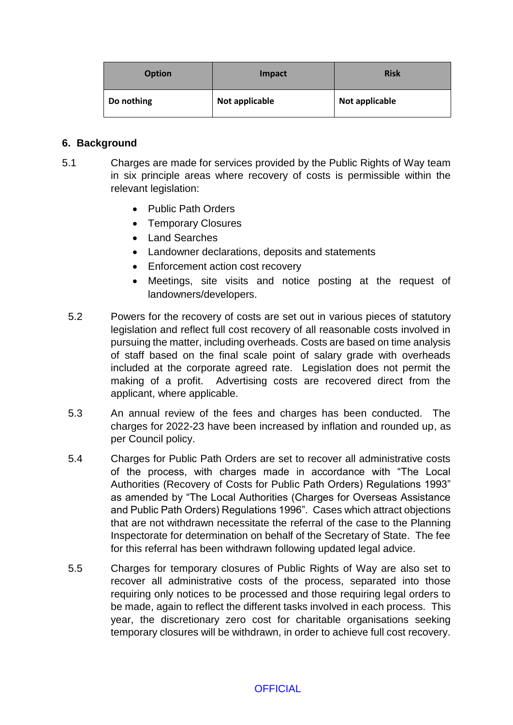| <b>Option</b> | Impact         | <b>Risk</b>    |
|---------------|----------------|----------------|
| Do nothing    | Not applicable | Not applicable |

#### **6. Background**

- 5.1 Charges are made for services provided by the Public Rights of Way team in six principle areas where recovery of costs is permissible within the relevant legislation:
	- Public Path Orders
	- Temporary Closures
	- Land Searches
	- Landowner declarations, deposits and statements
	- Enforcement action cost recovery
	- Meetings, site visits and notice posting at the request of landowners/developers.
	- 5.2 Powers for the recovery of costs are set out in various pieces of statutory legislation and reflect full cost recovery of all reasonable costs involved in pursuing the matter, including overheads. Costs are based on time analysis of staff based on the final scale point of salary grade with overheads included at the corporate agreed rate. Legislation does not permit the making of a profit. Advertising costs are recovered direct from the applicant, where applicable.
	- 5.3 An annual review of the fees and charges has been conducted. The charges for 2022-23 have been increased by inflation and rounded up, as per Council policy.
	- 5.4 Charges for Public Path Orders are set to recover all administrative costs of the process, with charges made in accordance with "The Local Authorities (Recovery of Costs for Public Path Orders) Regulations 1993" as amended by "The Local Authorities (Charges for Overseas Assistance and Public Path Orders) Regulations 1996". Cases which attract objections that are not withdrawn necessitate the referral of the case to the Planning Inspectorate for determination on behalf of the Secretary of State. The fee for this referral has been withdrawn following updated legal advice.
	- 5.5 Charges for temporary closures of Public Rights of Way are also set to recover all administrative costs of the process, separated into those requiring only notices to be processed and those requiring legal orders to be made, again to reflect the different tasks involved in each process. This year, the discretionary zero cost for charitable organisations seeking temporary closures will be withdrawn, in order to achieve full cost recovery.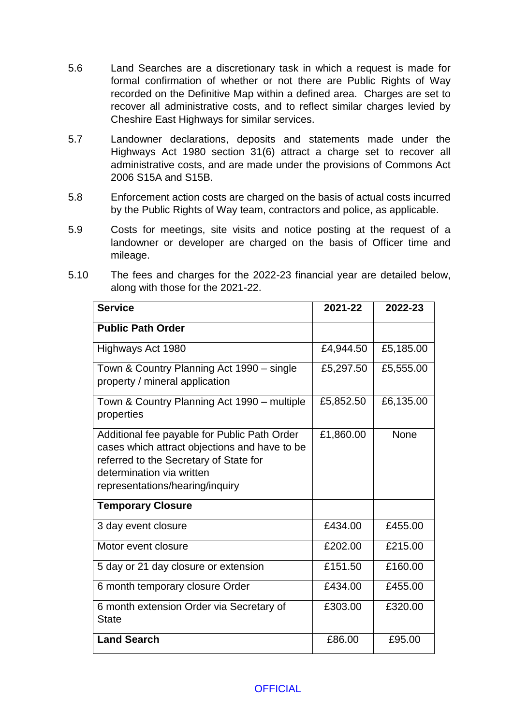- 5.6 Land Searches are a discretionary task in which a request is made for formal confirmation of whether or not there are Public Rights of Way recorded on the Definitive Map within a defined area. Charges are set to recover all administrative costs, and to reflect similar charges levied by Cheshire East Highways for similar services.
- 5.7 Landowner declarations, deposits and statements made under the Highways Act 1980 section 31(6) attract a charge set to recover all administrative costs, and are made under the provisions of Commons Act 2006 S15A and S15B.
- 5.8 Enforcement action costs are charged on the basis of actual costs incurred by the Public Rights of Way team, contractors and police, as applicable.
- 5.9 Costs for meetings, site visits and notice posting at the request of a landowner or developer are charged on the basis of Officer time and mileage.
- 5.10 The fees and charges for the 2022-23 financial year are detailed below, along with those for the 2021-22.

| <b>Service</b>                                                                                                                                                                                          | 2021-22   | 2022-23     |
|---------------------------------------------------------------------------------------------------------------------------------------------------------------------------------------------------------|-----------|-------------|
| <b>Public Path Order</b>                                                                                                                                                                                |           |             |
| Highways Act 1980                                                                                                                                                                                       | £4,944.50 | £5,185.00   |
| Town & Country Planning Act 1990 – single<br>property / mineral application                                                                                                                             | £5,297.50 | £5,555.00   |
| Town & Country Planning Act 1990 – multiple<br>properties                                                                                                                                               | £5,852.50 | £6,135.00   |
| Additional fee payable for Public Path Order<br>cases which attract objections and have to be<br>referred to the Secretary of State for<br>determination via written<br>representations/hearing/inquiry | £1,860.00 | <b>None</b> |
| <b>Temporary Closure</b>                                                                                                                                                                                |           |             |
| 3 day event closure                                                                                                                                                                                     | £434.00   | £455.00     |
| Motor event closure                                                                                                                                                                                     | £202.00   | £215.00     |
| 5 day or 21 day closure or extension                                                                                                                                                                    | £151.50   | £160.00     |
| 6 month temporary closure Order                                                                                                                                                                         | £434.00   | £455.00     |
| 6 month extension Order via Secretary of<br><b>State</b>                                                                                                                                                | £303.00   | £320.00     |
| <b>Land Search</b>                                                                                                                                                                                      | £86.00    | £95.00      |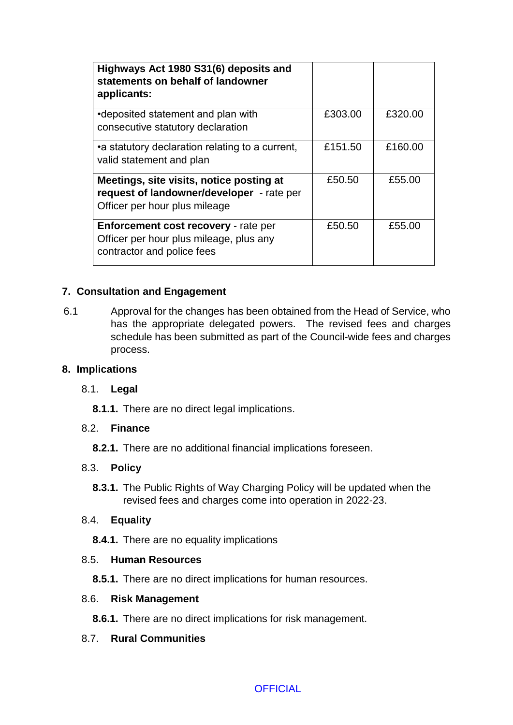| Highways Act 1980 S31(6) deposits and<br>statements on behalf of landowner<br>applicants:                              |         |         |
|------------------------------------------------------------------------------------------------------------------------|---------|---------|
| •deposited statement and plan with<br>consecutive statutory declaration                                                | £303.00 | £320.00 |
| •a statutory declaration relating to a current,<br>valid statement and plan                                            | £151.50 | £160.00 |
| Meetings, site visits, notice posting at<br>request of landowner/developer - rate per<br>Officer per hour plus mileage | £50.50  | £55.00  |
| <b>Enforcement cost recovery - rate per</b><br>Officer per hour plus mileage, plus any<br>contractor and police fees   | £50.50  | £55.00  |

## **7. Consultation and Engagement**

6.1 Approval for the changes has been obtained from the Head of Service, who has the appropriate delegated powers.The revised fees and charges schedule has been submitted as part of the Council-wide fees and charges process.

#### **8. Implications**

## 8.1. **Legal**

**8.1.1.** There are no direct legal implications.

## 8.2. **Finance**

**8.2.1.** There are no additional financial implications foreseen.

## 8.3. **Policy**

**8.3.1.** The Public Rights of Way Charging Policy will be updated when the revised fees and charges come into operation in 2022-23.

## 8.4. **Equality**

**8.4.1.** There are no equality implications

## 8.5. **Human Resources**

**8.5.1.** There are no direct implications for human resources.

#### 8.6. **Risk Management**

**8.6.1.** There are no direct implications for risk management.

## 8.7. **Rural Communities**